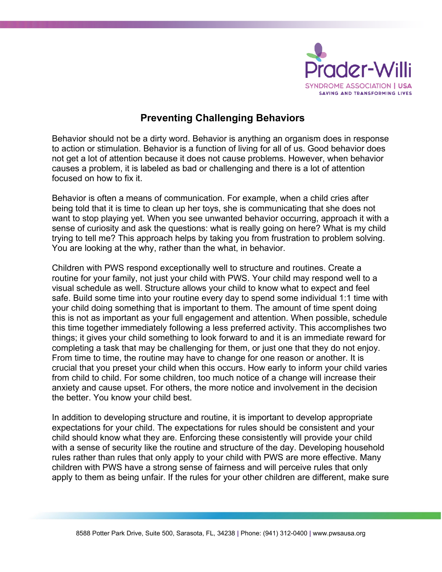

## **Preventing Challenging Behaviors**

Behavior should not be a dirty word. Behavior is anything an organism does in response to action or stimulation. Behavior is a function of living for all of us. Good behavior does not get a lot of attention because it does not cause problems. However, when behavior causes a problem, it is labeled as bad or challenging and there is a lot of attention focused on how to fix it.

Behavior is often a means of communication. For example, when a child cries after being told that it is time to clean up her toys, she is communicating that she does not want to stop playing yet. When you see unwanted behavior occurring, approach it with a sense of curiosity and ask the questions: what is really going on here? What is my child trying to tell me? This approach helps by taking you from frustration to problem solving. You are looking at the why, rather than the what, in behavior.

Children with PWS respond exceptionally well to structure and routines. Create a routine for your family, not just your child with PWS. Your child may respond well to a visual schedule as well. Structure allows your child to know what to expect and feel safe. Build some time into your routine every day to spend some individual 1:1 time with your child doing something that is important to them. The amount of time spent doing this is not as important as your full engagement and attention. When possible, schedule this time together immediately following a less preferred activity. This accomplishes two things; it gives your child something to look forward to and it is an immediate reward for completing a task that may be challenging for them, or just one that they do not enjoy. From time to time, the routine may have to change for one reason or another. It is crucial that you preset your child when this occurs. How early to inform your child varies from child to child. For some children, too much notice of a change will increase their anxiety and cause upset. For others, the more notice and involvement in the decision the better. You know your child best.

In addition to developing structure and routine, it is important to develop appropriate expectations for your child. The expectations for rules should be consistent and your child should know what they are. Enforcing these consistently will provide your child with a sense of security like the routine and structure of the day. Developing household rules rather than rules that only apply to your child with PWS are more effective. Many children with PWS have a strong sense of fairness and will perceive rules that only apply to them as being unfair. If the rules for your other children are different, make sure